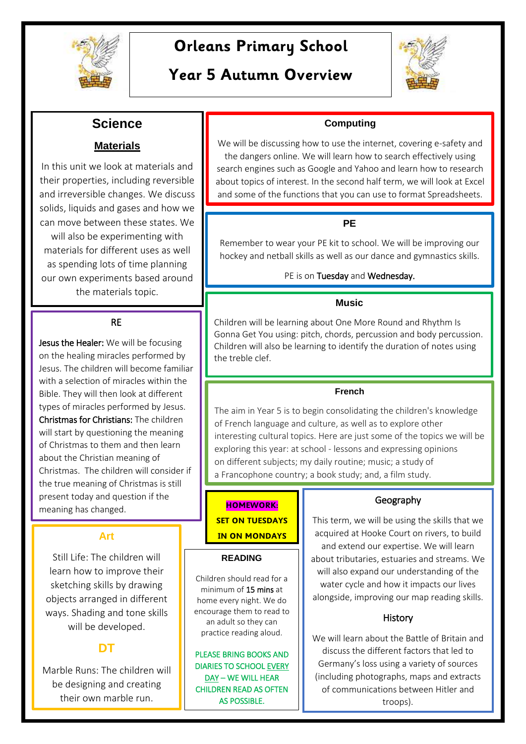

# **Orleans Primary School**

# **Year 5 Autumn Overview**



# **Science**

## **Materials**

In this unit we look at materials and their properties, including reversible and irreversible changes. We discuss solids, liquids and gases and how we can move between these states. We will also be experimenting with materials for different uses as well as spending lots of time planning our own experiments based around the materials topic.

### RE

Jesus the Healer: We will be focusing on the healing miracles performed by Jesus. The children will become familiar with a selection of miracles within the Bible. They will then look at different types of miracles performed by Jesus. Christmas for Christians: The children will start by questioning the meaning of Christmas to them and then learn about the Christian meaning of Christmas. The children will consider if the true meaning of Christmas is still present today and question if the meaning has changed.

## **Art**

Still Life: The children will learn how to improve their sketching skills by drawing objects arranged in different ways. Shading and tone skills will be developed.

## **DT**

Marble Runs: The children will be designing and creating their own marble run.

### **Computing**

We will be discussing how to use the internet, covering e-safety and the dangers online. We will learn how to search effectively using search engines such as Google and Yahoo and learn how to research about topics of interest. In the second half term, we will look at Excel and some of the functions that you can use to format Spreadsheets.

### **PE**

Remember to wear your PE kit to school. We will be improving our hockey and netball skills as well as our dance and gymnastics skills.

### PE is on Tuesday and Wednesday.

### **Music**

Children will be learning about One More Round and Rhythm Is Gonna Get You using: pitch, chords, percussion and body percussion. Children will also be learning to identify the duration of notes using the treble clef.

#### **French**

The aim in Year 5 is to begin consolidating the children's knowledge of French language and culture, as well as to explore other interesting cultural topics. Here are just some of the topics we will be exploring this year: at school - lessons and expressing opinions on different subjects; my daily routine; music; a study of a Francophone country; a book study; and, a film study.

## **HOMEWORK: SET ON TUESDAYS IN ON MONDAYS**

#### **READING**

Children should read for a minimum of 15 mins at home every night. We do encourage them to read to an adult so they can practice reading aloud.

PLEASE BRING BOOKS AND DIARIES TO SCHOOL EVERY DAY – WE WILL HEAR CHILDREN READ AS OFTEN AS POSSIBLE.

### Geography

This term, we will be using the skills that we acquired at Hooke Court on rivers, to build and extend our expertise. We will learn about tributaries, estuaries and streams. We will also expand our understanding of the water cycle and how it impacts our lives alongside, improving our map reading skills.

### History

We will learn about the Battle of Britain and discuss the different factors that led to Germany's loss using a variety of sources (including photographs, maps and extracts of communications between Hitler and troops).